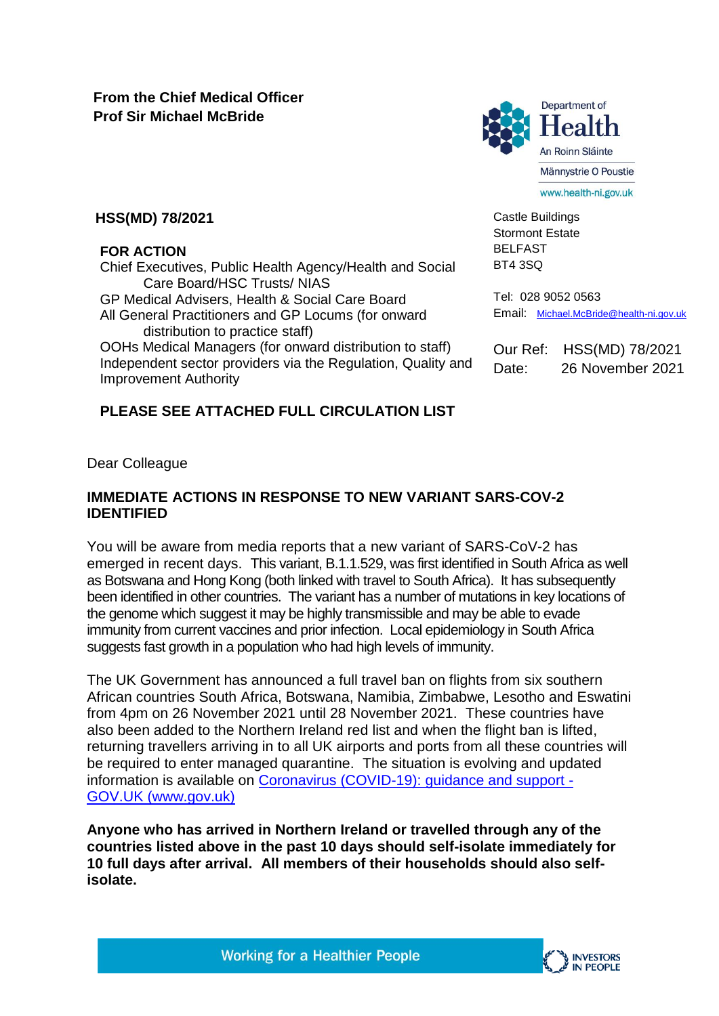

Castle Buildings Stormont Estate BELFAST

## **HSS(MD) 78/2021**

#### **FOR ACTION**

Chief Executives, Public Health Agency/Health and Social Care Board/HSC Trusts/ NIAS

GP Medical Advisers, Health & Social Care Board

All General Practitioners and GP Locums (for onward distribution to practice staff)

OOHs Medical Managers (for onward distribution to staff) Independent sector providers via the Regulation, Quality and Improvement Authority

## **PLEASE SEE ATTACHED FULL CIRCULATION LIST**

BT4 3SQ Tel: 028 9052 0563

Email: [Michael.McBride@health-ni.gov.uk](mailto:Michael.McBride@health-ni.gov.uk)

Our Ref: HSS(MD) 78/2021 Date: 26 November 2021

Dear Colleague

## **IMMEDIATE ACTIONS IN RESPONSE TO NEW VARIANT SARS-COV-2 IDENTIFIED**

You will be aware from media reports that a new variant of SARS-CoV-2 has emerged in recent days. This variant, B.1.1.529, was first identified in South Africa as well as Botswana and Hong Kong (both linked with travel to South Africa). It has subsequently been identified in other countries. The variant has a number of mutations in key locations of the genome which suggest it may be highly transmissible and may be able to evade immunity from current vaccines and prior infection. Local epidemiology in South Africa suggests fast growth in a population who had high levels of immunity.

The UK Government has announced a full travel ban on flights from six southern African countries South Africa, Botswana, Namibia, Zimbabwe, Lesotho and Eswatini from 4pm on 26 November 2021 until 28 November 2021. These countries have also been added to the Northern Ireland red list and when the flight ban is lifted, returning travellers arriving in to all UK airports and ports from all these countries will be required to enter managed quarantine. The situation is evolving and updated information is available on [Coronavirus \(COVID-19\): guidance and support -](https://www.gov.uk/coronavirus) [GOV.UK \(www.gov.uk\)](https://www.gov.uk/coronavirus)

**Anyone who has arrived in Northern Ireland or travelled through any of the countries listed above in the past 10 days should self-isolate immediately for 10 full days after arrival. All members of their households should also selfisolate.**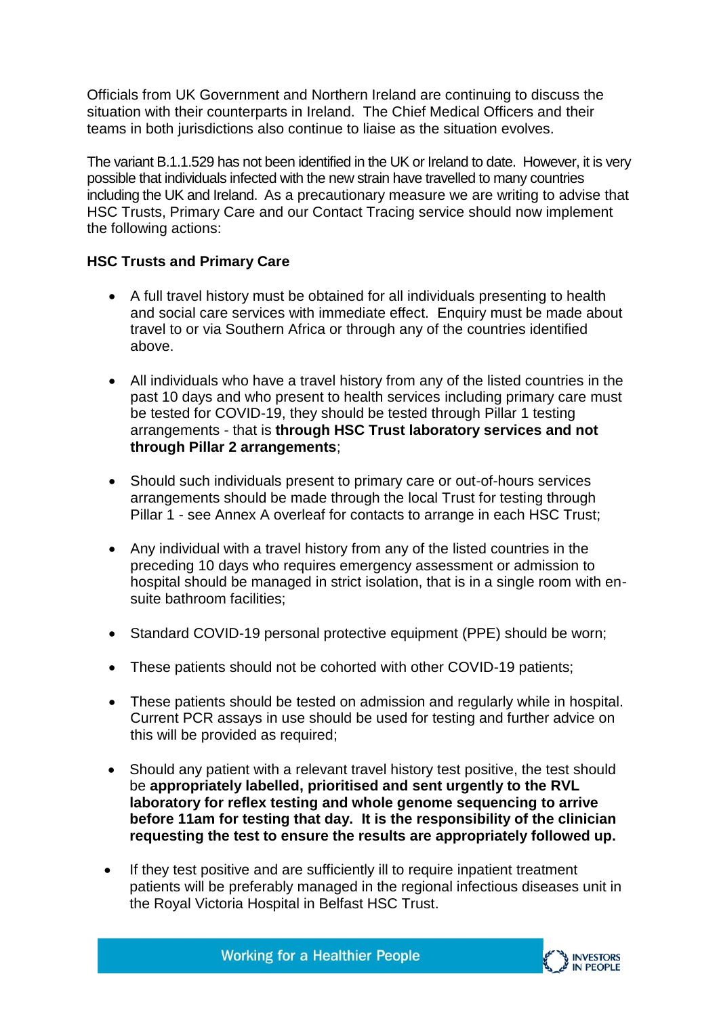Officials from UK Government and Northern Ireland are continuing to discuss the situation with their counterparts in Ireland. The Chief Medical Officers and their teams in both jurisdictions also continue to liaise as the situation evolves.

The variant B.1.1.529 has not been identified in the UK or Ireland to date. However, it is very possible that individuals infected with the new strain have travelled to many countries including the UK and Ireland. As a precautionary measure we are writing to advise that HSC Trusts, Primary Care and our Contact Tracing service should now implement the following actions:

# **HSC Trusts and Primary Care**

- A full travel history must be obtained for all individuals presenting to health and social care services with immediate effect. Enquiry must be made about travel to or via Southern Africa or through any of the countries identified above.
- All individuals who have a travel history from any of the listed countries in the past 10 days and who present to health services including primary care must be tested for COVID-19, they should be tested through Pillar 1 testing arrangements - that is **through HSC Trust laboratory services and not through Pillar 2 arrangements**;
- Should such individuals present to primary care or out-of-hours services arrangements should be made through the local Trust for testing through Pillar 1 - see Annex A overleaf for contacts to arrange in each HSC Trust;
- Any individual with a travel history from any of the listed countries in the preceding 10 days who requires emergency assessment or admission to hospital should be managed in strict isolation, that is in a single room with ensuite bathroom facilities;
- Standard COVID-19 personal protective equipment (PPE) should be worn:
- These patients should not be cohorted with other COVID-19 patients;
- These patients should be tested on admission and regularly while in hospital. Current PCR assays in use should be used for testing and further advice on this will be provided as required;
- Should any patient with a relevant travel history test positive, the test should be **appropriately labelled, prioritised and sent urgently to the RVL laboratory for reflex testing and whole genome sequencing to arrive before 11am for testing that day. It is the responsibility of the clinician requesting the test to ensure the results are appropriately followed up.**
- If they test positive and are sufficiently ill to require inpatient treatment patients will be preferably managed in the regional infectious diseases unit in the Royal Victoria Hospital in Belfast HSC Trust.

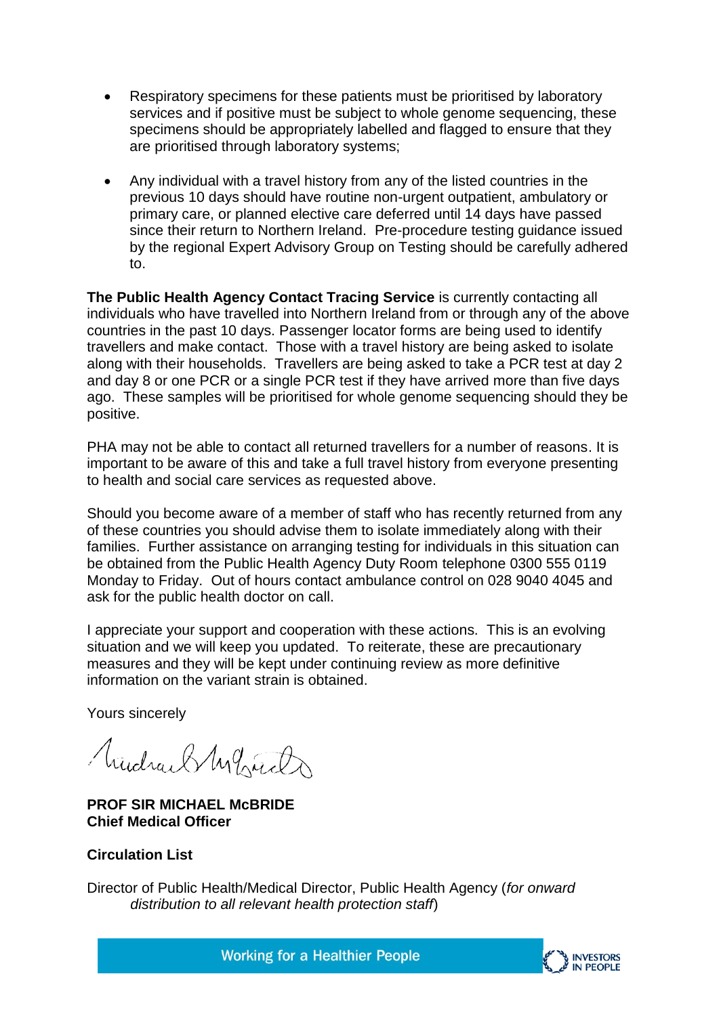- Respiratory specimens for these patients must be prioritised by laboratory services and if positive must be subject to whole genome sequencing, these specimens should be appropriately labelled and flagged to ensure that they are prioritised through laboratory systems;
- Any individual with a travel history from any of the listed countries in the previous 10 days should have routine non-urgent outpatient, ambulatory or primary care, or planned elective care deferred until 14 days have passed since their return to Northern Ireland. Pre-procedure testing guidance issued by the regional Expert Advisory Group on Testing should be carefully adhered to.

**The Public Health Agency Contact Tracing Service** is currently contacting all individuals who have travelled into Northern Ireland from or through any of the above countries in the past 10 days. Passenger locator forms are being used to identify travellers and make contact. Those with a travel history are being asked to isolate along with their households. Travellers are being asked to take a PCR test at day 2 and day 8 or one PCR or a single PCR test if they have arrived more than five days ago. These samples will be prioritised for whole genome sequencing should they be positive.

PHA may not be able to contact all returned travellers for a number of reasons. It is important to be aware of this and take a full travel history from everyone presenting to health and social care services as requested above.

Should you become aware of a member of staff who has recently returned from any of these countries you should advise them to isolate immediately along with their families. Further assistance on arranging testing for individuals in this situation can be obtained from the Public Health Agency Duty Room telephone 0300 555 0119 Monday to Friday. Out of hours contact ambulance control on 028 9040 4045 and ask for the public health doctor on call.

I appreciate your support and cooperation with these actions. This is an evolving situation and we will keep you updated. To reiterate, these are precautionary measures and they will be kept under continuing review as more definitive information on the variant strain is obtained.

Yours sincerely

Mudray SMg Gard

**PROF SIR MICHAEL McBRIDE Chief Medical Officer**

# **Circulation List**

Director of Public Health/Medical Director, Public Health Agency (*for onward distribution to all relevant health protection staff*)



**Working for a Healthier People**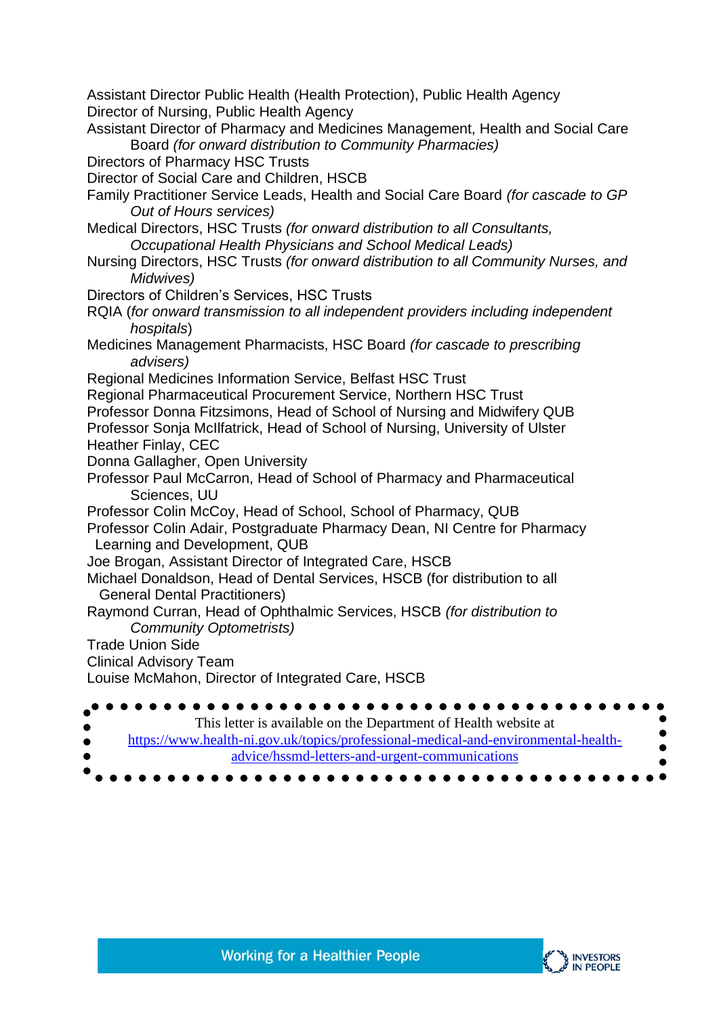Assistant Director Public Health (Health Protection), Public Health Agency Director of Nursing, Public Health Agency

- Assistant Director of Pharmacy and Medicines Management, Health and Social Care Board *(for onward distribution to Community Pharmacies)*
- Directors of Pharmacy HSC Trusts
- Director of Social Care and Children, HSCB
- Family Practitioner Service Leads, Health and Social Care Board *(for cascade to GP Out of Hours services)*
- Medical Directors, HSC Trusts *(for onward distribution to all Consultants, Occupational Health Physicians and School Medical Leads)*
- Nursing Directors, HSC Trusts *(for onward distribution to all Community Nurses, and Midwives)*
- Directors of Children's Services, HSC Trusts
- RQIA (*for onward transmission to all independent providers including independent hospitals*)
- Medicines Management Pharmacists, HSC Board *(for cascade to prescribing advisers)*
- Regional Medicines Information Service, Belfast HSC Trust
- Regional Pharmaceutical Procurement Service, Northern HSC Trust
- Professor Donna Fitzsimons, Head of School of Nursing and Midwifery QUB
- Professor Sonja McIlfatrick, Head of School of Nursing, University of Ulster Heather Finlay, CEC
- Donna Gallagher, Open University
- Professor Paul McCarron, Head of School of Pharmacy and Pharmaceutical Sciences, UU
- Professor Colin McCoy, Head of School, School of Pharmacy, QUB
- Professor Colin Adair, Postgraduate Pharmacy Dean, NI Centre for Pharmacy Learning and Development, QUB
- Joe Brogan, Assistant Director of Integrated Care, HSCB
- Michael Donaldson, Head of Dental Services, HSCB (for distribution to all General Dental Practitioners)
- Raymond Curran, Head of Ophthalmic Services, HSCB *(for distribution to Community Optometrists)*
- Trade Union Side
- Clinical Advisory Team
- Louise McMahon, Director of Integrated Care, HSCB

| This letter is available on the Department of Health website at                    |
|------------------------------------------------------------------------------------|
| https://www.health-ni.gov.uk/topics/professional-medical-and-environmental-health- |
| advice/hssmd-letters-and-urgent-communications                                     |
|                                                                                    |